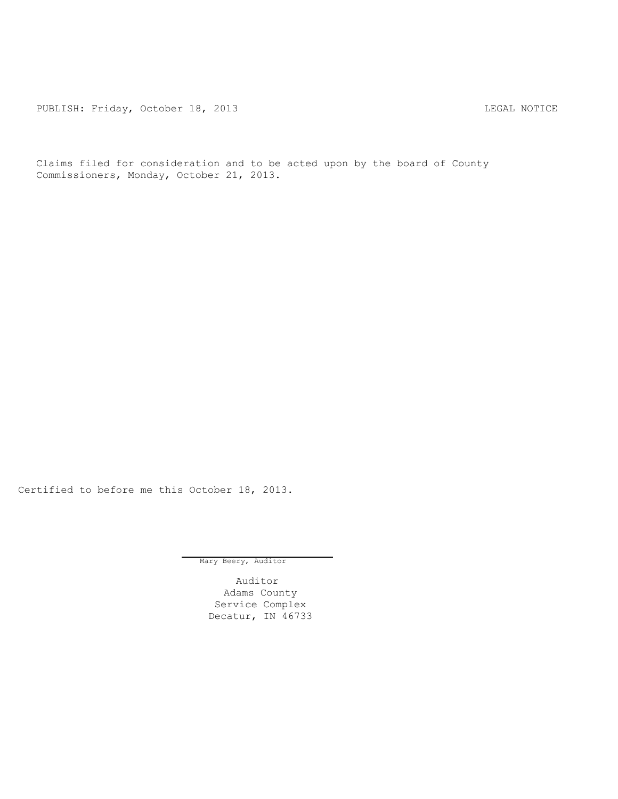PUBLISH: Friday, October 18, 2013 LEGAL NOTICE

Claims filed for consideration and to be acted upon by the board of County Commissioners, Monday, October 21, 2013.

Certified to before me this October 18, 2013.

Mary Beery, Auditor

Auditor Adams County Service Complex Decatur, IN 46733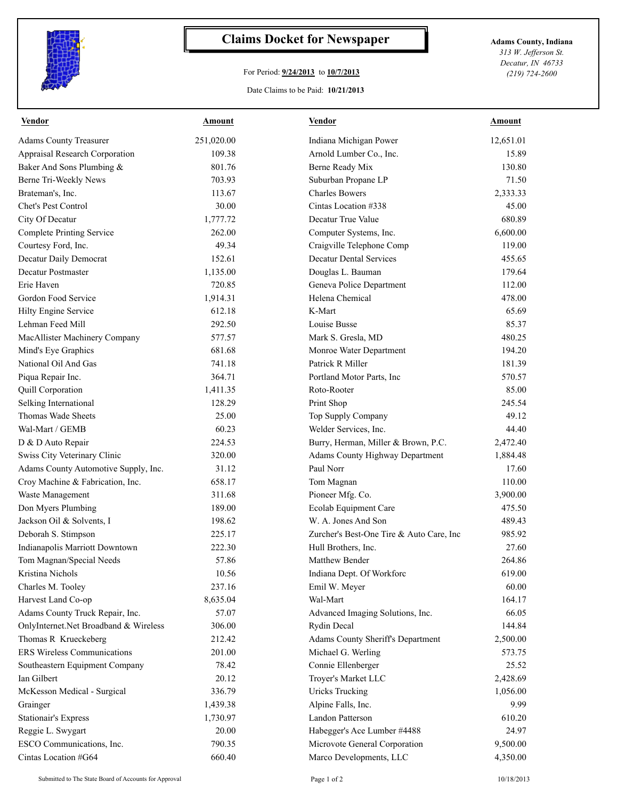

## **Claims Docket for Newspaper Adams County, Indiana**

## For Period: **9/24/2013** to **10/7/2013**

Date Claims to be Paid: **10/21/2013**

*313 W. Jefferson St. Decatur, IN 46733 (219) 724-2600*

| <b>Vendor</b>                         | <u>Amount</u> | <b>Vendor</b>                                            | Amount               |
|---------------------------------------|---------------|----------------------------------------------------------|----------------------|
| <b>Adams County Treasurer</b>         | 251,020.00    | Indiana Michigan Power                                   | 12,651.01            |
| <b>Appraisal Research Corporation</b> | 109.38        | Arnold Lumber Co., Inc.                                  | 15.89                |
| Baker And Sons Plumbing &             | 801.76        | Berne Ready Mix                                          | 130.80               |
| Berne Tri-Weekly News                 | 703.93        | Suburban Propane LP                                      | 71.50                |
| Brateman's, Inc.                      | 113.67        | <b>Charles Bowers</b>                                    | 2,333.33             |
| Chet's Pest Control                   | 30.00         | Cintas Location #338                                     | 45.00                |
| City Of Decatur                       | 1,777.72      | Decatur True Value                                       | 680.89               |
| <b>Complete Printing Service</b>      | 262.00        | Computer Systems, Inc.                                   | 6,600.00             |
| Courtesy Ford, Inc.                   | 49.34         | Craigville Telephone Comp                                | 119.00               |
| Decatur Daily Democrat                | 152.61        | <b>Decatur Dental Services</b>                           | 455.65               |
| Decatur Postmaster                    | 1,135.00      | Douglas L. Bauman                                        | 179.64               |
| Erie Haven                            | 720.85        | Geneva Police Department                                 | 112.00               |
| Gordon Food Service                   | 1,914.31      | Helena Chemical                                          | 478.00               |
| <b>Hilty Engine Service</b>           | 612.18        | K-Mart                                                   | 65.69                |
| Lehman Feed Mill                      | 292.50        | Louise Busse                                             | 85.37                |
| MacAllister Machinery Company         | 577.57        | Mark S. Gresla, MD                                       | 480.25               |
| Mind's Eye Graphics                   | 681.68        | Monroe Water Department                                  | 194.20               |
| National Oil And Gas                  | 741.18        | Patrick R Miller                                         | 181.39               |
| Piqua Repair Inc.                     | 364.71        | Portland Motor Parts, Inc                                | 570.57               |
| <b>Quill Corporation</b>              | 1,411.35      | Roto-Rooter                                              | 85.00                |
| Selking International                 | 128.29        | Print Shop                                               | 245.54               |
| Thomas Wade Sheets                    | 25.00         | Top Supply Company                                       | 49.12                |
| Wal-Mart / GEMB                       | 60.23         | Welder Services, Inc.                                    | 44.40                |
| D & D Auto Repair                     | 224.53        | Burry, Herman, Miller & Brown, P.C.                      | 2,472.40             |
| Swiss City Veterinary Clinic          | 320.00        | Adams County Highway Department                          | 1,884.48             |
| Adams County Automotive Supply, Inc.  | 31.12         | Paul Norr                                                | 17.60                |
| Croy Machine & Fabrication, Inc.      | 658.17        | Tom Magnan                                               | 110.00               |
| Waste Management                      | 311.68        | Pioneer Mfg. Co.                                         | 3,900.00             |
| Don Myers Plumbing                    | 189.00        | Ecolab Equipment Care                                    | 475.50               |
| Jackson Oil & Solvents, I             | 198.62        | W. A. Jones And Son                                      | 489.43               |
| Deborah S. Stimpson                   | 225.17        | Zurcher's Best-One Tire & Auto Care, Inc                 | 985.92               |
| Indianapolis Marriott Downtown        | 222.30        | Hull Brothers, Inc.                                      | 27.60                |
| Tom Magnan/Special Needs              | 57.86         | Matthew Bender                                           | 264.86               |
| Kristina Nichols                      | 10.56         | Indiana Dept. Of Workforc                                | 619.00               |
| Charles M. Tooley                     | 237.16        | Emil W. Meyer                                            | 60.00                |
| Harvest Land Co-op                    | 8,635.04      | Wal-Mart                                                 | 164.17               |
| Adams County Truck Repair, Inc.       | 57.07         | Advanced Imaging Solutions, Inc.                         | 66.05                |
| OnlyInternet.Net Broadband & Wireless | 306.00        | <b>Rydin Decal</b>                                       | 144.84               |
| Thomas R Krueckeberg                  | 212.42        | Adams County Sheriff's Department                        | 2,500.00             |
| <b>ERS Wireless Communications</b>    | 201.00        | Michael G. Werling                                       | 573.75               |
| Southeastern Equipment Company        | 78.42         | Connie Ellenberger                                       | 25.52                |
| Ian Gilbert                           | 20.12         | Troyer's Market LLC                                      | 2,428.69             |
| McKesson Medical - Surgical           | 336.79        | <b>Uricks Trucking</b>                                   | 1,056.00             |
| Grainger                              | 1,439.38      | Alpine Falls, Inc.                                       | 9.99                 |
| <b>Stationair's Express</b>           | 1,730.97      | Landon Patterson                                         | 610.20               |
| Reggie L. Swygart                     | 20.00         | Habegger's Ace Lumber #4488                              | 24.97                |
|                                       | 790.35        |                                                          |                      |
| ESCO Communications, Inc.             | 660.40        | Microvote General Corporation<br>Marco Developments, LLC | 9,500.00<br>4,350.00 |